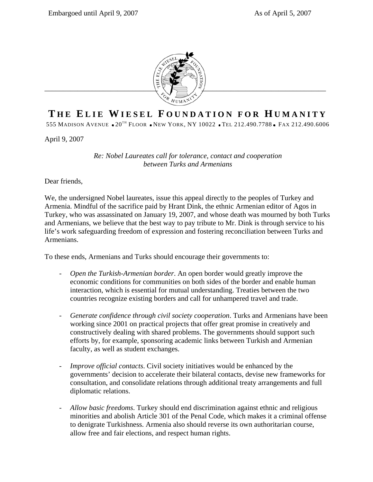

## **T HE E LIE W IESEL F OUNDATION FOR H UMANITY**

555 MADISON AVENUE • 20<sup>TH</sup> FLOOR • NEW YORK, NY 10022 • TEL 212.490.7788 • FAX 212.490.6006

April 9, 2007

*Re: Nobel Laureates call for tolerance, contact and cooperation between Turks and Armenians* 

Dear friends,

We, the undersigned Nobel laureates, issue this appeal directly to the peoples of Turkey and Armenia. Mindful of the sacrifice paid by Hrant Dink, the ethnic Armenian editor of Agos in Turkey, who was assassinated on January 19, 2007, and whose death was mourned by both Turks and Armenians, we believe that the best way to pay tribute to Mr. Dink is through service to his life's work safeguarding freedom of expression and fostering reconciliation between Turks and Armenians.

To these ends, Armenians and Turks should encourage their governments to:

- *Open the Turkish-Armenian border*. An open border would greatly improve the economic conditions for communities on both sides of the border and enable human interaction, which is essential for mutual understanding. Treaties between the two countries recognize existing borders and call for unhampered travel and trade.
- *Generate confidence through civil society cooperation*. Turks and Armenians have been working since 2001 on practical projects that offer great promise in creatively and constructively dealing with shared problems. The governments should support such efforts by, for example, sponsoring academic links between Turkish and Armenian faculty, as well as student exchanges.
- *Improve official contacts*. Civil society initiatives would be enhanced by the governments' decision to accelerate their bilateral contacts, devise new frameworks for consultation, and consolidate relations through additional treaty arrangements and full diplomatic relations.
- *Allow basic freedoms*. Turkey should end discrimination against ethnic and religious minorities and abolish Article 301 of the Penal Code, which makes it a criminal offense to denigrate Turkishness. Armenia also should reverse its own authoritarian course, allow free and fair elections, and respect human rights.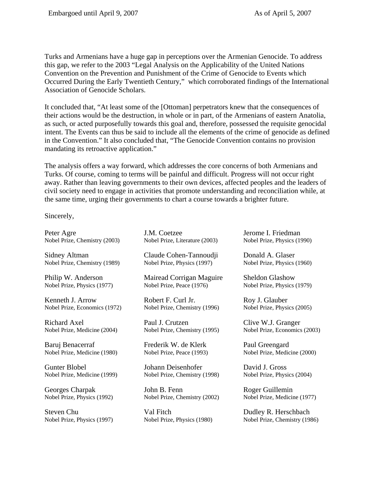Turks and Armenians have a huge gap in perceptions over the Armenian Genocide. To address this gap, we refer to the 2003 "Legal Analysis on the Applicability of the United Nations Convention on the Prevention and Punishment of the Crime of Genocide to Events which Occurred During the Early Twentieth Century," which corroborated findings of the International Association of Genocide Scholars.

It concluded that, "At least some of the [Ottoman] perpetrators knew that the consequences of their actions would be the destruction, in whole or in part, of the Armenians of eastern Anatolia, as such, or acted purposefully towards this goal and, therefore, possessed the requisite genocidal intent. The Events can thus be said to include all the elements of the crime of genocide as defined in the Convention." It also concluded that, "The Genocide Convention contains no provision mandating its retroactive application."

The analysis offers a way forward, which addresses the core concerns of both Armenians and Turks. Of course, coming to terms will be painful and difficult. Progress will not occur right away. Rather than leaving governments to their own devices, affected peoples and the leaders of civil society need to engage in activities that promote understanding and reconciliation while, at the same time, urging their governments to chart a course towards a brighter future.

Sincerely,

Peter Agre Nobel Prize, Chemistry (2003)

Sidney Altman Nobel Prize, Chemistry (1989)

Philip W. Anderson Nobel Prize, Physics (1977)

Kenneth J. Arrow Nobel Prize, Economics (1972)

Richard Axel Nobel Prize, Medicine (2004)

Baruj Benacerraf Nobel Prize, Medicine (1980)

Gunter Blobel Nobel Prize, Medicine (1999)

Georges Charpak Nobel Prize, Physics (1992)

Steven Chu Nobel Prize, Physics (1997) J.M. Coetzee Nobel Prize, Literature (2003)

Claude Cohen-Tannoudji Nobel Prize, Physics (1997)

Mairead Corrigan Maguire Nobel Prize, Peace (1976)

Robert F. Curl Jr. Nobel Prize, Chemistry (1996)

Paul J. Crutzen Nobel Prize, Chemistry (1995)

Frederik W. de Klerk Nobel Prize, Peace (1993)

Johann Deisenhofer Nobel Prize, Chemistry (1998)

John B. Fenn Nobel Prize, Chemistry (2002)

Val Fitch Nobel Prize, Physics (1980) Jerome I. Friedman Nobel Prize, Physics (1990)

Donald A. Glaser Nobel Prize, Physics (1960)

Sheldon Glashow Nobel Prize, Physics (1979)

Roy J. Glauber Nobel Prize, Physics (2005)

Clive W.J. Granger Nobel Prize, Economics (2003)

Paul Greengard Nobel Prize, Medicine (2000)

David J. Gross Nobel Prize, Physics (2004)

Roger Guillemin Nobel Prize, Medicine (1977)

Dudley R. Herschbach Nobel Prize, Chemistry (1986)